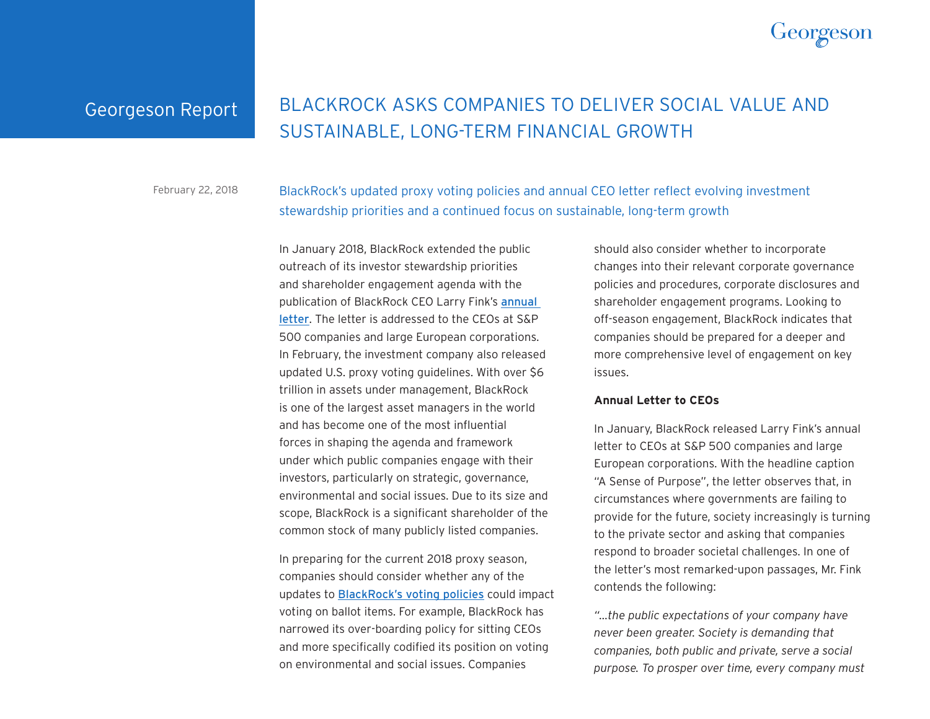

## Georgeson Report

# BLACKROCK ASKS COMPANIES TO DELIVER SOCIAL VALUE AND SUSTAINABLE, LONG-TERM FINANCIAL GROWTH

February 22, 2018

BlackRock's updated proxy voting policies and annual CEO letter reflect evolving investment stewardship priorities and a continued focus on sustainable, long-term growth

In January 2018, BlackRock extended the public outreach of its investor stewardship priorities and shareholder engagement agenda with the publication of BlackRock CEO Larry Fink's [annual](https://www.blackrock.com/corporate/en-no/investor-relations/larry-fink-ceo-letter)  [letter](https://www.blackrock.com/corporate/en-no/investor-relations/larry-fink-ceo-letter). The letter is addressed to the CEOs at S&P 500 companies and large European corporations. In February, the investment company also released updated U.S. proxy voting guidelines. With over \$6 trillion in assets under management, BlackRock is one of the largest asset managers in the world and has become one of the most influential forces in shaping the agenda and framework under which public companies engage with their investors, particularly on strategic, governance, environmental and social issues. Due to its size and scope, BlackRock is a significant shareholder of the common stock of many publicly listed companies.

In preparing for the current 2018 proxy season, companies should consider whether any of the updates to [BlackRock's voting policies](https://www.blackrock.com/corporate/en-kr/literature/fact-sheet/blk-responsible-investment-guidelines-us.pdf) could impact voting on ballot items. For example, BlackRock has narrowed its over-boarding policy for sitting CEOs and more specifically codified its position on voting on environmental and social issues. Companies

should also consider whether to incorporate changes into their relevant corporate governance policies and procedures, corporate disclosures and shareholder engagement programs. Looking to off-season engagement, BlackRock indicates that companies should be prepared for a deeper and more comprehensive level of engagement on key issues.

#### **Annual Letter to CEOs**

In January, BlackRock released Larry Fink's annual letter to CEOs at S&P 500 companies and large European corporations. With the headline caption "A Sense of Purpose", the letter observes that, in circumstances where governments are failing to provide for the future, society increasingly is turning to the private sector and asking that companies respond to broader societal challenges. In one of the letter's most remarked-upon passages, Mr. Fink contends the following:

*"…the public expectations of your company have never been greater. Society is demanding that companies, both public and private, serve a social purpose. To prosper over time, every company must*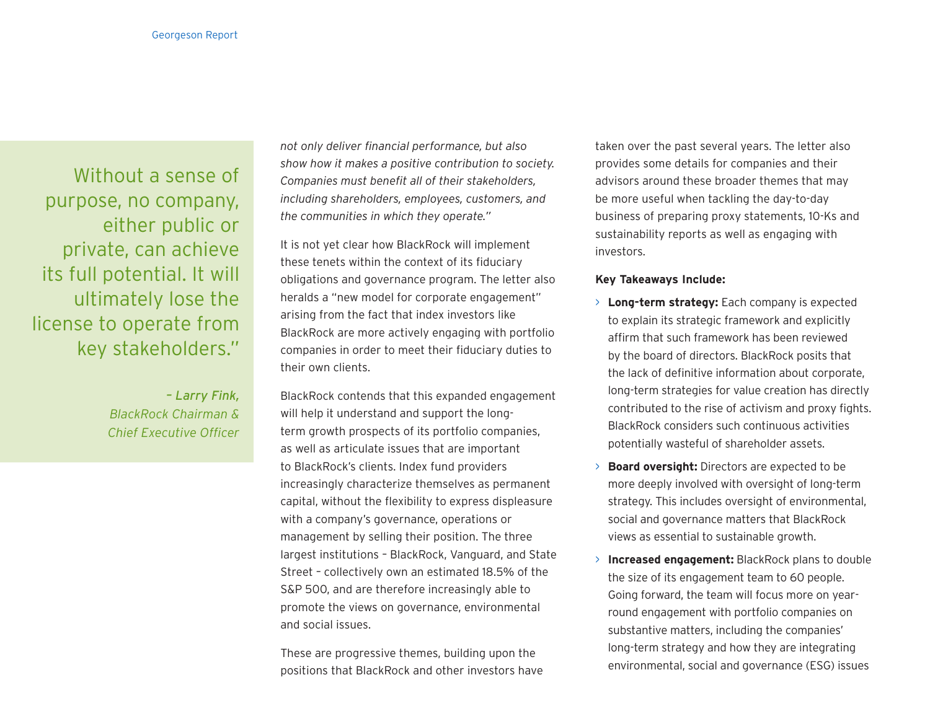Without a sense of purpose, no company, either public or private, can achieve its full potential. It will ultimately lose the license to operate from key stakeholders."

> *– Larry Fink, BlackRock Chairman & Chief Executive Officer*

*not only deliver financial performance, but also show how it makes a positive contribution to society. Companies must benefit all of their stakeholders, including shareholders, employees, customers, and the communities in which they operate."*

It is not yet clear how BlackRock will implement these tenets within the context of its fiduciary obligations and governance program. The letter also heralds a "new model for corporate engagement" arising from the fact that index investors like BlackRock are more actively engaging with portfolio companies in order to meet their fiduciary duties to their own clients.

BlackRock contends that this expanded engagement will help it understand and support the longterm growth prospects of its portfolio companies, as well as articulate issues that are important to BlackRock's clients. Index fund providers increasingly characterize themselves as permanent capital, without the flexibility to express displeasure with a company's governance, operations or management by selling their position. The three largest institutions – BlackRock, Vanguard, and State Street – collectively own an estimated 18.5% of the S&P 500, and are therefore increasingly able to promote the views on governance, environmental and social issues.

These are progressive themes, building upon the positions that BlackRock and other investors have taken over the past several years. The letter also provides some details for companies and their advisors around these broader themes that may be more useful when tackling the day-to-day business of preparing proxy statements, 10-Ks and sustainability reports as well as engaging with investors.

#### **Key Takeaways Include:**

- > **Long-term strategy:** Each company is expected to explain its strategic framework and explicitly affirm that such framework has been reviewed by the board of directors. BlackRock posits that the lack of definitive information about corporate, long-term strategies for value creation has directly contributed to the rise of activism and proxy fights. BlackRock considers such continuous activities potentially wasteful of shareholder assets.
- > **Board oversight:** Directors are expected to be more deeply involved with oversight of long-term strategy. This includes oversight of environmental, social and governance matters that BlackRock views as essential to sustainable growth.
- > **Increased engagement:** BlackRock plans to double the size of its engagement team to 60 people. Going forward, the team will focus more on yearround engagement with portfolio companies on substantive matters, including the companies' long-term strategy and how they are integrating environmental, social and governance (ESG) issues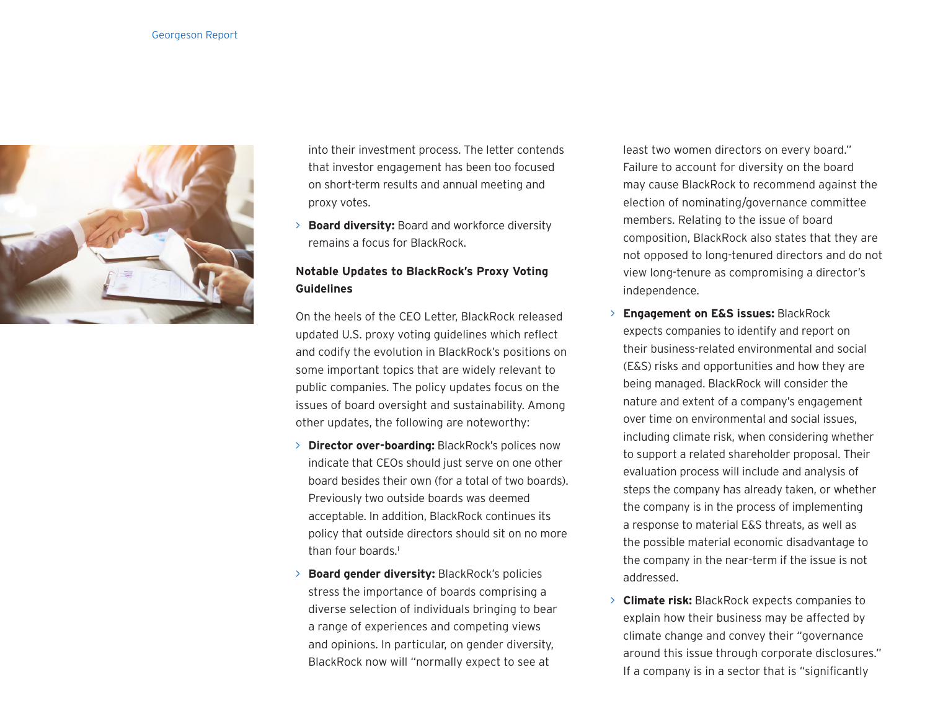

into their investment process. The letter contends that investor engagement has been too focused on short-term results and annual meeting and proxy votes.

> **Board diversity:** Board and workforce diversity remains a focus for BlackRock.

### **Notable Updates to BlackRock's Proxy Voting Guidelines**

On the heels of the CEO Letter, BlackRock released updated U.S. proxy voting guidelines which reflect and codify the evolution in BlackRock's positions on some important topics that are widely relevant to public companies. The policy updates focus on the issues of board oversight and sustainability. Among other updates, the following are noteworthy:

- > **Director over-boarding:** BlackRock's polices now indicate that CEOs should just serve on one other board besides their own (for a total of two boards). Previously two outside boards was deemed acceptable. In addition, BlackRock continues its policy that outside directors should sit on no more than four boards.<sup>1</sup>
- > **Board gender diversity:** BlackRock's policies stress the importance of boards comprising a diverse selection of individuals bringing to bear a range of experiences and competing views and opinions. In particular, on gender diversity, BlackRock now will "normally expect to see at

least two women directors on every board." Failure to account for diversity on the board may cause BlackRock to recommend against the election of nominating/governance committee members. Relating to the issue of board composition, BlackRock also states that they are not opposed to long-tenured directors and do not view long-tenure as compromising a director's independence.

- > **Engagement on E&S issues:** BlackRock expects companies to identify and report on their business-related environmental and social (E&S) risks and opportunities and how they are being managed. BlackRock will consider the nature and extent of a company's engagement over time on environmental and social issues, including climate risk, when considering whether to support a related shareholder proposal. Their evaluation process will include and analysis of steps the company has already taken, or whether the company is in the process of implementing a response to material E&S threats, as well as the possible material economic disadvantage to the company in the near-term if the issue is not addressed.
- > **Climate risk:** BlackRock expects companies to explain how their business may be affected by climate change and convey their "governance around this issue through corporate disclosures." If a company is in a sector that is "significantly